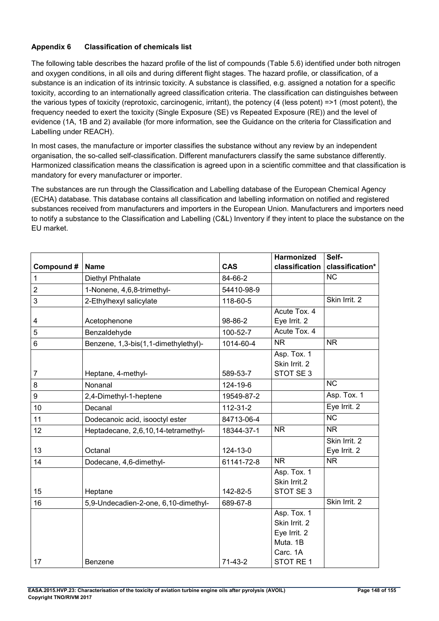## **Appendix 6 Classification of chemicals list**

The following table describes the hazard profile of the list of compounds (Table 5.6) identified under both nitrogen and oxygen conditions, in all oils and during different flight stages. The hazard profile, or classification, of a substance is an indication of its intrinsic toxicity. A substance is classified, e.g. assigned a notation for a specific toxicity, according to an internationally agreed classification criteria. The classification can distinguishes between the various types of toxicity (reprotoxic, carcinogenic, irritant), the potency (4 (less potent) =>1 (most potent), the frequency needed to exert the toxicity (Single Exposure (SE) vs Repeated Exposure (RE)) and the level of evidence (1A, 1B and 2) available (for more information, see the Guidance on the criteria for Classification and Labelling under REACH).

In most cases, the manufacture or importer classifies the substance without any review by an independent organisation, the so-called self-classification. Different manufacturers classify the same substance differently. Harmonized classification means the classification is agreed upon in a scientific committee and that classification is mandatory for every manufacturer or importer.

The substances are run through the Classification and Labelling database of the European Chemical Agency (ECHA) database. This database contains all classification and labelling information on notified and registered substances received from manufacturers and importers in the European Union. Manufacturers and importers need to notify a substance to the Classification and Labelling (C&L) Inventory if they intent to place the substance on the EU market.

|                  |                                      |            | Harmonized     | Self-                  |
|------------------|--------------------------------------|------------|----------------|------------------------|
| Compound#        | <b>Name</b>                          | <b>CAS</b> | classification | classification*        |
| 1                | Diethyl Phthalate                    | 84-66-2    |                | <b>NC</b>              |
| $\overline{c}$   | 1-Nonene, 4,6,8-trimethyl-           | 54410-98-9 |                |                        |
| 3                | 2-Ethylhexyl salicylate              | 118-60-5   |                | Skin Irrit. 2          |
|                  |                                      |            | Acute Tox. 4   |                        |
| 4                | Acetophenone                         | 98-86-2    | Eye Irrit. 2   |                        |
| 5                | Benzaldehyde                         | 100-52-7   | Acute Tox. 4   |                        |
| $\,6$            | Benzene, 1,3-bis(1,1-dimethylethyl)- | 1014-60-4  | <b>NR</b>      | <b>NR</b>              |
|                  |                                      |            | Asp. Tox. 1    |                        |
|                  |                                      |            | Skin Irrit. 2  |                        |
| $\overline{7}$   | Heptane, 4-methyl-                   | 589-53-7   | STOT SE 3      |                        |
| 8                | Nonanal                              | 124-19-6   |                | <b>NC</b>              |
| $\boldsymbol{9}$ | 2,4-Dimethyl-1-heptene               | 19549-87-2 |                | Asp. Tox. 1            |
| 10               | Decanal                              | 112-31-2   |                | Eye Irrit. 2           |
| 11               | Dodecanoic acid, isooctyl ester      | 84713-06-4 |                | $\overline{\text{NC}}$ |
| 12               | Heptadecane, 2,6,10,14-tetramethyl-  | 18344-37-1 | <b>NR</b>      | <b>NR</b>              |
|                  |                                      |            |                | Skin Irrit. 2          |
| 13               | Octanal                              | 124-13-0   |                | Eye Irrit. 2           |
| 14               | Dodecane, 4,6-dimethyl-              | 61141-72-8 | <b>NR</b>      | <b>NR</b>              |
|                  |                                      |            | Asp. Tox. 1    |                        |
|                  |                                      |            | Skin Irrit.2   |                        |
| 15               | Heptane                              | 142-82-5   | STOT SE 3      |                        |
| 16               | 5,9-Undecadien-2-one, 6,10-dimethyl- | 689-67-8   |                | Skin Irrit. 2          |
|                  |                                      |            | Asp. Tox. 1    |                        |
|                  |                                      |            | Skin Irrit. 2  |                        |
|                  |                                      |            | Eye Irrit. 2   |                        |
|                  |                                      |            | Muta, 1B       |                        |
|                  |                                      |            | Carc. 1A       |                        |
| 17               | Benzene                              | $71-43-2$  | STOT RE 1      |                        |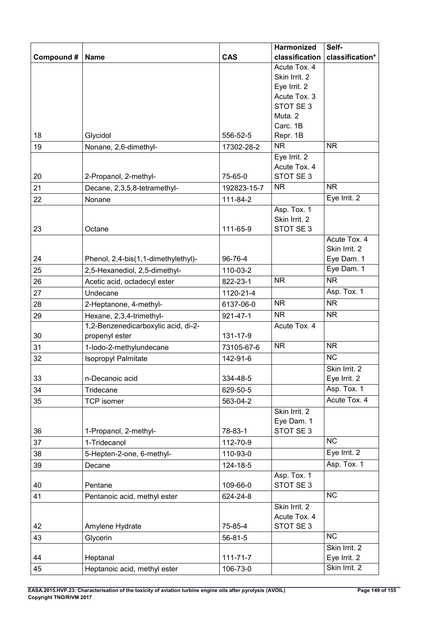|            |                                     |                | <b>Harmonized</b>             | Self-           |
|------------|-------------------------------------|----------------|-------------------------------|-----------------|
| Compound # | <b>Name</b>                         | <b>CAS</b>     | classification                | classification* |
|            |                                     |                | Acute Tox. 4                  |                 |
|            |                                     |                | Skin Irrit. 2                 |                 |
|            |                                     |                | Eye Irrit. 2                  |                 |
|            |                                     |                | Acute Tox. 3                  |                 |
|            |                                     |                | STOT SE 3                     |                 |
|            |                                     |                | Muta. 2                       |                 |
|            |                                     |                | Carc. 1B                      |                 |
| 18         | Glycidol                            | 556-52-5       | Repr. 1B<br><b>NR</b>         | <b>NR</b>       |
| 19         | Nonane, 2,6-dimethyl-               | 17302-28-2     |                               |                 |
|            |                                     |                | Eye Irrit. 2<br>Acute Tox. 4  |                 |
| 20         | 2-Propanol, 2-methyl-               | 75-65-0        | STOT SE3                      |                 |
| 21         |                                     | 192823-15-7    | <b>NR</b>                     | <b>NR</b>       |
| 22         | Decane, 2,3,5,8-tetramethyl-        |                |                               | Eye Irrit. 2    |
|            | Nonane                              | 111-84-2       | Asp. Tox. 1                   |                 |
|            |                                     |                | Skin Irrit. 2                 |                 |
| 23         | Octane                              | 111-65-9       | STOT SE3                      |                 |
|            |                                     |                |                               | Acute Tox. 4    |
|            |                                     |                |                               | Skin Irrit. 2   |
| 24         | Phenol, 2,4-bis(1,1-dimethylethyl)- | 96-76-4        |                               | Eye Dam. 1      |
| 25         | 2,5-Hexanediol, 2,5-dimethyl-       | 110-03-2       |                               | Eye Dam. 1      |
| 26         | Acetic acid, octadecyl ester        | 822-23-1       | <b>NR</b>                     | <b>NR</b>       |
| 27         | Undecane                            | 1120-21-4      |                               | Asp. Tox. 1     |
| 28         | 2-Heptanone, 4-methyl-              | 6137-06-0      | <b>NR</b>                     | <b>NR</b>       |
| 29         | Hexane, 2,3,4-trimethyl-            | $921 - 47 - 1$ | <b>NR</b>                     | <b>NR</b>       |
|            | 1,2-Benzenedicarboxylic acid, di-2- |                | Acute Tox. 4                  |                 |
| 30         | propenyl ester                      | 131-17-9       |                               |                 |
| 31         | 1-lodo-2-methylundecane             | 73105-67-6     | <b>NR</b>                     | <b>NR</b>       |
| 32         | Isopropyl Palmitate                 | 142-91-6       |                               | <b>NC</b>       |
|            |                                     |                |                               | Skin Irrit. 2   |
| 33         | n-Decanoic acid                     | 334-48-5       |                               | Eye Irrit. 2    |
| 34         | Tridecane                           | 629-50-5       |                               | Asp. Tox. 1     |
| 35         | <b>TCP</b> isomer                   | 563-04-2       |                               | Acute Tox. 4    |
|            |                                     |                | Skin Irrit. 2                 |                 |
|            |                                     |                | Eye Dam. 1                    |                 |
| 36         | 1-Propanol, 2-methyl-               | 78-83-1        | STOT SE 3                     |                 |
| 37         | 1-Tridecanol                        | 112-70-9       |                               | NC              |
| 38         | 5-Hepten-2-one, 6-methyl-           | 110-93-0       |                               | Eye Irrit. 2    |
| 39         | Decane                              | 124-18-5       |                               | Asp. Tox. 1     |
|            |                                     |                | Asp. Tox. 1                   |                 |
| 40         | Pentane                             | 109-66-0       | STOT SE 3                     | NC              |
| 41         | Pentanoic acid, methyl ester        | 624-24-8       |                               |                 |
|            |                                     |                | Skin Irrit. 2<br>Acute Tox. 4 |                 |
| 42         | Amylene Hydrate                     | 75-85-4        | STOT SE 3                     |                 |
| 43         | Glycerin                            | 56-81-5        |                               | <b>NC</b>       |
|            |                                     |                |                               | Skin Irrit. 2   |
| 44         | Heptanal                            | $111 - 71 - 7$ |                               | Eye Irrit. 2    |
| 45         | Heptanoic acid, methyl ester        | 106-73-0       |                               | Skin Irrit. 2   |
|            |                                     |                |                               |                 |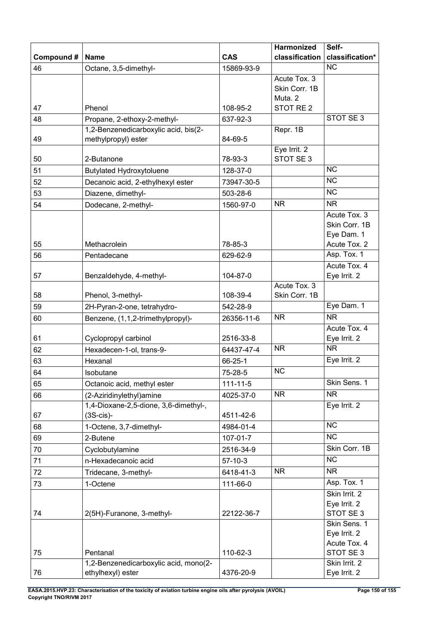|            |                                                                     |                | Harmonized                      | Self-                       |
|------------|---------------------------------------------------------------------|----------------|---------------------------------|-----------------------------|
| Compound # | <b>Name</b>                                                         | <b>CAS</b>     | classification                  | classification*             |
| 46         | Octane, 3,5-dimethyl-                                               | 15869-93-9     |                                 | <b>NC</b>                   |
|            |                                                                     |                | Acute Tox. 3                    |                             |
|            |                                                                     |                | Skin Corr. 1B                   |                             |
|            | Phenol                                                              | 108-95-2       | Muta. 2<br>STOT RE <sub>2</sub> |                             |
| 47<br>48   |                                                                     |                |                                 | STOT SE 3                   |
|            | Propane, 2-ethoxy-2-methyl-<br>1,2-Benzenedicarboxylic acid, bis(2- | 637-92-3       | Repr. 1B                        |                             |
| 49         | methylpropyl) ester                                                 | 84-69-5        |                                 |                             |
|            |                                                                     |                | Eye Irrit. 2                    |                             |
| 50         | 2-Butanone                                                          | 78-93-3        | STOT SE 3                       |                             |
| 51         | <b>Butylated Hydroxytoluene</b>                                     | 128-37-0       |                                 | <b>NC</b>                   |
| 52         | Decanoic acid, 2-ethylhexyl ester                                   | 73947-30-5     |                                 | <b>NC</b>                   |
| 53         | Diazene, dimethyl-                                                  | 503-28-6       |                                 | $\overline{\text{NC}}$      |
| 54         | Dodecane, 2-methyl-                                                 | 1560-97-0      | <b>NR</b>                       | <b>NR</b>                   |
|            |                                                                     |                |                                 | Acute Tox. 3                |
|            |                                                                     |                |                                 | Skin Corr. 1B               |
|            |                                                                     |                |                                 | Eye Dam. 1                  |
| 55         | Methacrolein                                                        | 78-85-3        |                                 | Acute Tox. 2                |
| 56         | Pentadecane                                                         | 629-62-9       |                                 | Asp. Tox. 1<br>Acute Tox. 4 |
| 57         | Benzaldehyde, 4-methyl-                                             | 104-87-0       |                                 | Eye Irrit. 2                |
|            |                                                                     |                | Acute Tox. 3                    |                             |
| 58         | Phenol, 3-methyl-                                                   | 108-39-4       | Skin Corr. 1B                   |                             |
| 59         | 2H-Pyran-2-one, tetrahydro-                                         | 542-28-9       |                                 | Eye Dam. 1                  |
| 60         | Benzene, (1,1,2-trimethylpropyl)-                                   | 26356-11-6     | <b>NR</b>                       | <b>NR</b>                   |
|            |                                                                     |                |                                 | Acute Tox. 4                |
| 61         | Cyclopropyl carbinol                                                | 2516-33-8      |                                 | Eye Irrit. 2                |
| 62         | Hexadecen-1-ol, trans-9-                                            | 64437-47-4     | <b>NR</b>                       | <b>NR</b>                   |
| 63         | Hexanal                                                             | 66-25-1        |                                 | Eye Irrit. 2                |
| 64         | Isobutane                                                           | 75-28-5        | NC                              |                             |
| 65         | Octanoic acid, methyl ester                                         | $111 - 11 - 5$ |                                 | Skin Sens. 1                |
| 66         | (2-Aziridinylethyl) amine                                           | 4025-37-0      | <b>NR</b>                       | <b>NR</b>                   |
|            | 1,4-Dioxane-2,5-dione, 3,6-dimethyl-,                               |                |                                 | Eye Irrit. 2                |
| 67         | $(3S-cis)$ -                                                        | 4511-42-6      |                                 |                             |
| 68         | 1-Octene, 3,7-dimethyl-                                             | 4984-01-4      |                                 | $\overline{\text{NC}}$      |
| 69         | 2-Butene                                                            | $107 - 01 - 7$ |                                 | <b>NC</b>                   |
| 70         | Cyclobutylamine                                                     | 2516-34-9      |                                 | Skin Corr. 1B               |
| 71         | n-Hexadecanoic acid                                                 | $57-10-3$      |                                 | <b>NC</b>                   |
| 72         | Tridecane, 3-methyl-                                                | 6418-41-3      | <b>NR</b>                       | <b>NR</b>                   |
| 73         | 1-Octene                                                            | 111-66-0       |                                 | Asp. Tox. 1                 |
|            |                                                                     |                |                                 | Skin Irrit. 2               |
|            |                                                                     |                |                                 | Eye Irrit. 2                |
| 74         | 2(5H)-Furanone, 3-methyl-                                           | 22122-36-7     |                                 | STOT SE 3<br>Skin Sens. 1   |
|            |                                                                     |                |                                 | Eye Irrit. 2                |
|            |                                                                     |                |                                 | Acute Tox. 4                |
| 75         | Pentanal                                                            | 110-62-3       |                                 | STOT SE 3                   |
|            | 1,2-Benzenedicarboxylic acid, mono(2-                               |                |                                 | Skin Irrit. 2               |
| 76         | ethylhexyl) ester                                                   | 4376-20-9      |                                 | Eye Irrit. 2                |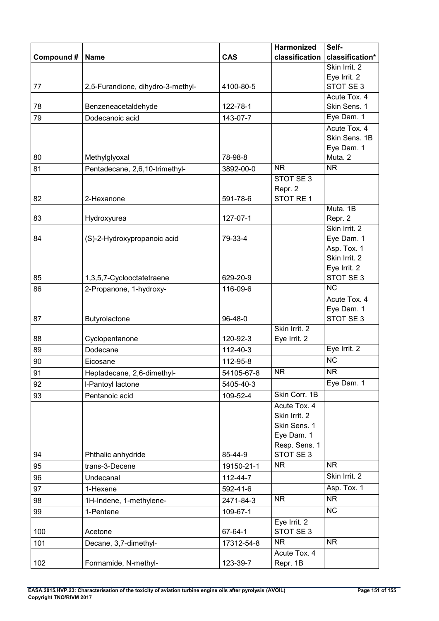|           |                                   |            | Harmonized                    | Self-                        |
|-----------|-----------------------------------|------------|-------------------------------|------------------------------|
| Compound# | <b>Name</b>                       | <b>CAS</b> | classification                | classification*              |
|           |                                   |            |                               | Skin Irrit. 2                |
|           |                                   |            |                               | Eye Irrit. 2                 |
| 77        | 2,5-Furandione, dihydro-3-methyl- | 4100-80-5  |                               | STOT SE 3                    |
|           |                                   | 122-78-1   |                               | Acute Tox. 4<br>Skin Sens. 1 |
| 78        | Benzeneacetaldehyde               |            |                               | Eye Dam. 1                   |
| 79        | Dodecanoic acid                   | 143-07-7   |                               | Acute Tox. 4                 |
|           |                                   |            |                               | Skin Sens. 1B                |
|           |                                   |            |                               | Eye Dam. 1                   |
| 80        | Methylglyoxal                     | 78-98-8    |                               | Muta. 2                      |
| 81        | Pentadecane, 2,6,10-trimethyl-    | 3892-00-0  | <b>NR</b>                     | <b>NR</b>                    |
|           |                                   |            | STOT SE 3                     |                              |
|           |                                   |            | Repr. 2                       |                              |
| 82        | 2-Hexanone                        | 591-78-6   | STOT RE 1                     |                              |
|           |                                   |            |                               | Muta. 1B                     |
| 83        | Hydroxyurea                       | 127-07-1   |                               | Repr. 2<br>Skin Irrit. 2     |
| 84        | (S)-2-Hydroxypropanoic acid       | 79-33-4    |                               | Eye Dam. 1                   |
|           |                                   |            |                               | Asp. Tox. 1                  |
|           |                                   |            |                               | Skin Irrit. 2                |
|           |                                   |            |                               | Eye Irrit. 2                 |
| 85        | 1,3,5,7-Cyclooctatetraene         | 629-20-9   |                               | STOT SE 3                    |
| 86        | 2-Propanone, 1-hydroxy-           | 116-09-6   |                               | $\overline{\text{NC}}$       |
|           |                                   |            |                               | Acute Tox. 4                 |
|           |                                   |            |                               | Eye Dam. 1                   |
| 87        | Butyrolactone                     | 96-48-0    |                               | STOT SE 3                    |
|           |                                   |            | Skin Irrit. 2                 |                              |
| 88        | Cyclopentanone                    | 120-92-3   | Eye Irrit. 2                  | Eye Irrit. 2                 |
| 89        | Dodecane                          | 112-40-3   |                               | <b>NC</b>                    |
| 90        | Eicosane                          | 112-95-8   |                               |                              |
| 91        | Heptadecane, 2,6-dimethyl-        | 54105-67-8 | <b>NR</b>                     | NR                           |
| 92        | I-Pantoyl lactone                 | 5405-40-3  |                               | Eye Dam. 1                   |
| 93        | Pentanoic acid                    | 109-52-4   | Skin Corr. 1B                 |                              |
|           |                                   |            | Acute Tox. 4<br>Skin Irrit. 2 |                              |
|           |                                   |            | Skin Sens. 1                  |                              |
|           |                                   |            | Eye Dam. 1                    |                              |
|           |                                   |            | Resp. Sens. 1                 |                              |
| 94        | Phthalic anhydride                | 85-44-9    | STOT SE 3                     |                              |
| 95        | trans-3-Decene                    | 19150-21-1 | <b>NR</b>                     | <b>NR</b>                    |
| 96        | Undecanal                         | 112-44-7   |                               | Skin Irrit. 2                |
| 97        | 1-Hexene                          | 592-41-6   |                               | Asp. Tox. 1                  |
| 98        | 1H-Indene, 1-methylene-           | 2471-84-3  | <b>NR</b>                     | <b>NR</b>                    |
| 99        | 1-Pentene                         | 109-67-1   |                               | <b>NC</b>                    |
|           |                                   |            | Eye Irrit. 2                  |                              |
| 100       | Acetone                           | 67-64-1    | STOT SE3                      |                              |
| 101       | Decane, 3,7-dimethyl-             | 17312-54-8 | NR.                           | <b>NR</b>                    |
|           |                                   |            | Acute Tox. 4                  |                              |
| 102       | Formamide, N-methyl-              | 123-39-7   | Repr. 1B                      |                              |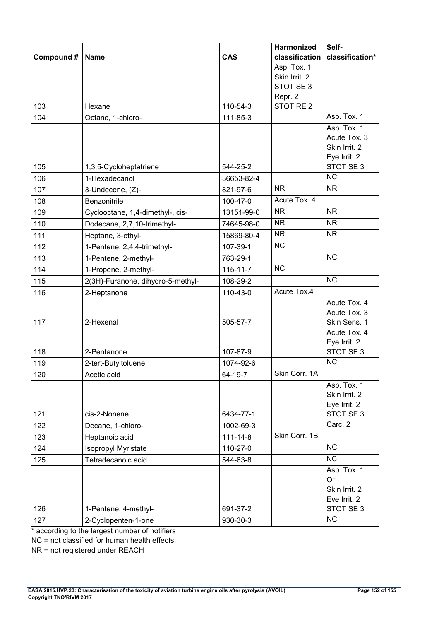|            |                                             |                | Harmonized                                                                   | Self-                                                                     |
|------------|---------------------------------------------|----------------|------------------------------------------------------------------------------|---------------------------------------------------------------------------|
| Compound#  | <b>Name</b>                                 | <b>CAS</b>     | classification                                                               | classification*                                                           |
| 103        | Hexane                                      | 110-54-3       | Asp. Tox. 1<br>Skin Irrit. 2<br>STOT SE 3<br>Repr. 2<br>STOT RE <sub>2</sub> |                                                                           |
|            |                                             | 111-85-3       |                                                                              | Asp. Tox. 1                                                               |
| 104<br>105 | Octane, 1-chloro-<br>1,3,5-Cycloheptatriene | 544-25-2       |                                                                              | Asp. Tox. 1<br>Acute Tox, 3<br>Skin Irrit. 2<br>Eye Irrit. 2<br>STOT SE 3 |
| 106        | 1-Hexadecanol                               | 36653-82-4     |                                                                              | <b>NC</b>                                                                 |
| 107        | 3-Undecene, (Z)-                            | 821-97-6       | <b>NR</b>                                                                    | <b>NR</b>                                                                 |
| 108        | Benzonitrile                                | 100-47-0       | Acute Tox. 4                                                                 |                                                                           |
| 109        | Cyclooctane, 1,4-dimethyl-, cis-            | 13151-99-0     | <b>NR</b>                                                                    | <b>NR</b>                                                                 |
| 110        | Dodecane, 2,7,10-trimethyl-                 | 74645-98-0     | <b>NR</b>                                                                    | <b>NR</b>                                                                 |
| 111        | Heptane, 3-ethyl-                           | 15869-80-4     | $\overline{\text{NR}}$                                                       | <b>NR</b>                                                                 |
| 112        | 1-Pentene, 2,4,4-trimethyl-                 | 107-39-1       | <b>NC</b>                                                                    |                                                                           |
| 113        | 1-Pentene, 2-methyl-                        | 763-29-1       |                                                                              | <b>NC</b>                                                                 |
| 114        | 1-Propene, 2-methyl-                        | $115 - 11 - 7$ | $\overline{\text{NC}}$                                                       |                                                                           |
| 115        | 2(3H)-Furanone, dihydro-5-methyl-           | 108-29-2       |                                                                              | <b>NC</b>                                                                 |
| 116        | 2-Heptanone                                 | 110-43-0       | Acute Tox.4                                                                  |                                                                           |
| 117        | 2-Hexenal                                   | 505-57-7       |                                                                              | Acute Tox. 4<br>Acute Tox. 3<br>Skin Sens. 1<br>Acute Tox. 4              |
| 118        | 2-Pentanone                                 | 107-87-9       |                                                                              | Eye Irrit. 2<br>STOT SE 3                                                 |
| 119        | 2-tert-Butyltoluene                         | 1074-92-6      |                                                                              | <b>NC</b>                                                                 |
| 120        | Acetic acid                                 | 64-19-7        | Skin Corr. 1A                                                                |                                                                           |
| 121        | cis-2-Nonene                                | 6434-77-1      |                                                                              | Asp. Tox. 1<br>Skin Irrit. 2<br>Eye Irrit. 2<br>STOT SE 3                 |
| 122        | Decane, 1-chloro-                           | 1002-69-3      |                                                                              | Carc. 2                                                                   |
| 123        | Heptanoic acid                              | $111 - 14 - 8$ | Skin Corr. 1B                                                                |                                                                           |
| 124        | Isopropyl Myristate                         | 110-27-0       |                                                                              | <b>NC</b>                                                                 |
| 125        | Tetradecanoic acid                          | 544-63-8       |                                                                              | <b>NC</b>                                                                 |
| 126        | 1-Pentene, 4-methyl-                        | 691-37-2       |                                                                              | Asp. Tox. 1<br><b>Or</b><br>Skin Irrit. 2<br>Eye Irrit. 2<br>STOT SE 3    |
| 127        | 2-Cyclopenten-1-one                         | 930-30-3       |                                                                              | <b>NC</b>                                                                 |

\* according to the largest number of notifiers

NC = not classified for human health effects

NR = not registered under REACH